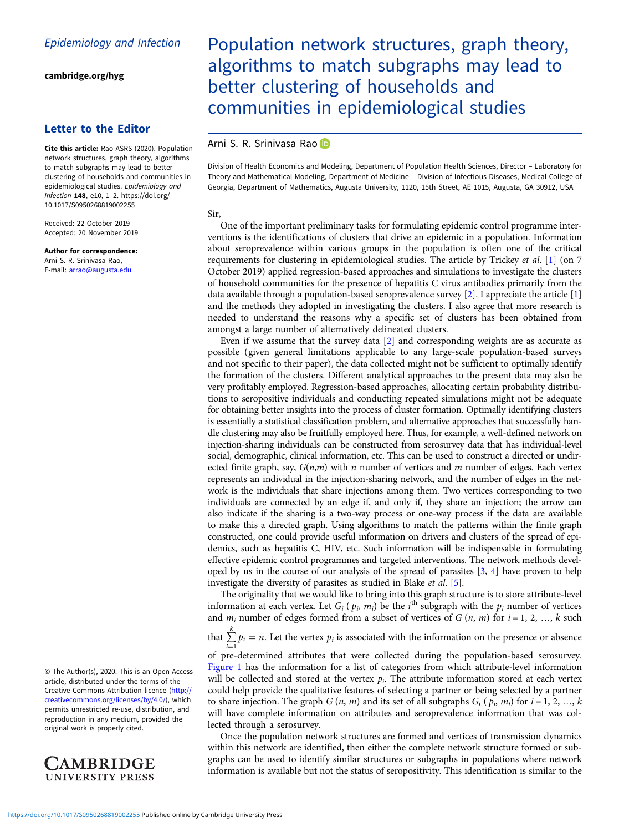[cambridge.org/hyg](https://www.cambridge.org/hyg)

## Letter to the Editor

Cite this article: Rao ASRS (2020). Population network structures, graph theory, algorithms to match subgraphs may lead to better clustering of households and communities in epidemiological studies. Epidemiology and Infection 148, e10, 1–2. [https://doi.org/](https://doi.org/10.1017/S0950268819002255) [10.1017/S0950268819002255](https://doi.org/10.1017/S0950268819002255)

Received: 22 October 2019 Accepted: 20 November 2019

Author for correspondence: Arni S. R. Srinivasa Rao, E-mail: [arrao@augusta.edu](mailto:arrao@augusta.edu)

Population network structures, graph theory, algorithms to match subgraphs may lead to better clustering of households and communities in epidemiological studies

## Arni S. R. Srinivasa Rao

Division of Health Economics and Modeling, Department of Population Health Sciences, Director – Laboratory for Theory and Mathematical Modeling, Department of Medicine – Division of Infectious Diseases, Medical College of Georgia, Department of Mathematics, Augusta University, 1120, 15th Street, AE 1015, Augusta, GA 30912, USA

## Sir,

One of the important preliminary tasks for formulating epidemic control programme interventions is the identifications of clusters that drive an epidemic in a population. Information about seroprevalence within various groups in the population is often one of the critical requirements for clustering in epidemiological studies. The article by Trickey et al. [[1](#page-1-0)] (on 7 October 2019) applied regression-based approaches and simulations to investigate the clusters of household communities for the presence of hepatitis C virus antibodies primarily from the data available through a population-based seroprevalence survey [\[2\]](#page-1-0). I appreciate the article [[1](#page-1-0)] and the methods they adopted in investigating the clusters. I also agree that more research is needed to understand the reasons why a specific set of clusters has been obtained from amongst a large number of alternatively delineated clusters.

Even if we assume that the survey data [\[2\]](#page-1-0) and corresponding weights are as accurate as possible (given general limitations applicable to any large-scale population-based surveys and not specific to their paper), the data collected might not be sufficient to optimally identify the formation of the clusters. Different analytical approaches to the present data may also be very profitably employed. Regression-based approaches, allocating certain probability distributions to seropositive individuals and conducting repeated simulations might not be adequate for obtaining better insights into the process of cluster formation. Optimally identifying clusters is essentially a statistical classification problem, and alternative approaches that successfully handle clustering may also be fruitfully employed here. Thus, for example, a well-defined network on injection-sharing individuals can be constructed from serosurvey data that has individual-level social, demographic, clinical information, etc. This can be used to construct a directed or undirected finite graph, say,  $G(n,m)$  with *n* number of vertices and *m* number of edges. Each vertex represents an individual in the injection-sharing network, and the number of edges in the network is the individuals that share injections among them. Two vertices corresponding to two individuals are connected by an edge if, and only if, they share an injection; the arrow can also indicate if the sharing is a two-way process or one-way process if the data are available to make this a directed graph. Using algorithms to match the patterns within the finite graph constructed, one could provide useful information on drivers and clusters of the spread of epidemics, such as hepatitis C, HIV, etc. Such information will be indispensable in formulating effective epidemic control programmes and targeted interventions. The network methods developed by us in the course of our analysis of the spread of parasites [[3](#page-1-0), [4](#page-1-0)] have proven to help investigate the diversity of parasites as studied in Blake et al. [\[5\]](#page-1-0).

The originality that we would like to bring into this graph structure is to store attribute-level information at each vertex. Let  $G_i$  ( $p_i$ ,  $m_i$ ) be the i<sup>th</sup> subgraph with the  $p_i$  number of vertices and  $m_i$  number of edges formed from a subset of vertices of  $G(n, m)$  for  $i = 1, 2, ..., k$  such

that  $\sum_{i=1}^{k} p_i = n$ . Let the vertex  $p_i$  is associated with the information on the presence or absence

 $i=1$ <br>of pre-determined attributes that were collected during the population-based serosurvey. [Figure 1](#page-1-0) has the information for a list of categories from which attribute-level information will be collected and stored at the vertex  $p_i$ . The attribute information stored at each vertex could help provide the qualitative features of selecting a partner or being selected by a partner to share injection. The graph  $G(n, m)$  and its set of all subgraphs  $G_i(p_i, m_i)$  for  $i = 1, 2, ..., k$ will have complete information on attributes and seroprevalence information that was collected through a serosurvey.

Once the population network structures are formed and vertices of transmission dynamics within this network are identified, then either the complete network structure formed or subgraphs can be used to identify similar structures or subgraphs in populations where network information is available but not the status of seropositivity. This identification is similar to the

© The Author(s), 2020. This is an Open Access article, distributed under the terms of the Creative Commons Attribution licence ([http://](http://creativecommons.org/licenses/by/4.0/) [creativecommons.org/licenses/by/4.0/](http://creativecommons.org/licenses/by/4.0/)), which permits unrestricted re-use, distribution, and reproduction in any medium, provided the original work is properly cited.